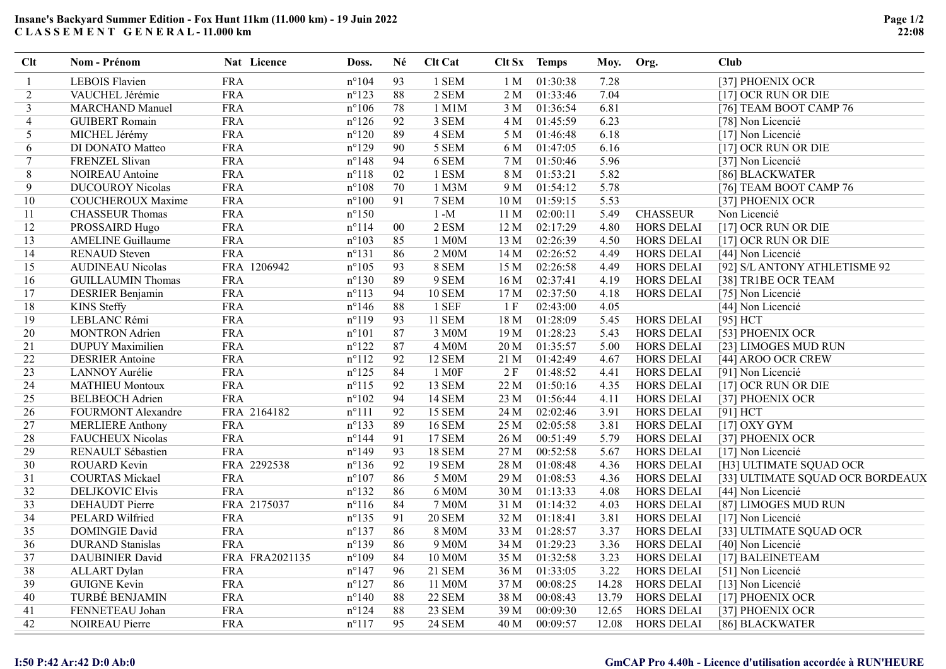## Insane's Backyard Summer Edition - Fox Hunt 11km (11.000 km) - 19 Juin 2022 C L A S S E M E N T G E N E R A L - 11.000 km

| <b>Clt</b>     | Nom - Prénom             | Nat Licence    | Doss.                   | Né          | Clt Cat            |                 | Clt Sx Temps | Moy.  | Org.              | <b>Club</b>                      |
|----------------|--------------------------|----------------|-------------------------|-------------|--------------------|-----------------|--------------|-------|-------------------|----------------------------------|
| 1              | <b>LEBOIS Flavien</b>    | <b>FRA</b>     | $n^{\circ}104$          | 93          | 1 SEM              | 1 M             | 01:30:38     | 7.28  |                   | [37] PHOENIX OCR                 |
| $\overline{2}$ | VAUCHEL Jérémie          | <b>FRA</b>     | $n^{\circ}123$          | $\sqrt{88}$ | 2 SEM              | 2 M             | 01:33:46     | 7.04  |                   | [17] OCR RUN OR DIE              |
| 3              | <b>MARCHAND Manuel</b>   | <b>FRA</b>     | $n^{\circ}106$          | 78          | 1 M1M              | 3 M             | 01:36:54     | 6.81  |                   | [76] TEAM BOOT CAMP 76           |
| 4              | <b>GUIBERT</b> Romain    | <b>FRA</b>     | $n^{\circ}126$          | 92          | 3 SEM              | 4 M             | 01:45:59     | 6.23  |                   | [78] Non Licencié                |
| 5              | MICHEL Jérémy            | <b>FRA</b>     | $n^{\circ}120$          | 89          | 4 SEM              | 5 M             | 01:46:48     | 6.18  |                   | [17] Non Licencié                |
| 6              | DI DONATO Matteo         | <b>FRA</b>     | $n^{\circ}129$          | 90          | 5 SEM              | 6 M             | 01:47:05     | 6.16  |                   | [17] OCR RUN OR DIE              |
| $\tau$         | FRENZEL Slivan           | <b>FRA</b>     | $n^{\circ}148$          | 94          | 6 SEM              | 7 M             | 01:50:46     | 5.96  |                   | [37] Non Licencié                |
| 8              | NOIREAU Antoine          | <b>FRA</b>     | $n^{\circ}118$          | 02          | 1 ESM              | 8 M             | 01:53:21     | 5.82  |                   | [86] BLACKWATER                  |
| 9              | <b>DUCOUROY Nicolas</b>  | <b>FRA</b>     | $\mathtt{n}^{\circ}108$ | 70          | 1 M3M              | 9 M             | 01:54:12     | 5.78  |                   | [76] TEAM BOOT CAMP 76           |
| 10             | <b>COUCHEROUX Maxime</b> | <b>FRA</b>     | $n^{\circ}100$          | 91          | 7 SEM              | 10 <sub>M</sub> | 01:59:15     | 5.53  |                   | [37] PHOENIX OCR                 |
| 11             | <b>CHASSEUR Thomas</b>   | <b>FRA</b>     | $n^{\circ}150$          |             | $1 - M$            | 11 <sub>M</sub> | 02:00:11     | 5.49  | <b>CHASSEUR</b>   | Non Licencié                     |
| 12             | PROSSAIRD Hugo           | <b>FRA</b>     | $n^{\circ}114$          | $00\,$      | 2 ESM              | 12 M            | 02:17:29     | 4.80  | <b>HORS DELAI</b> | [17] OCR RUN OR DIE              |
| 13             | <b>AMELINE Guillaume</b> | <b>FRA</b>     | $n^{\circ}103$          | 85          | 1 M <sub>0</sub> M | 13 M            | 02:26:39     | 4.50  | HORS DELAI        | [17] OCR RUN OR DIE              |
| 14             | <b>RENAUD</b> Steven     | <b>FRA</b>     | $n^{\circ}131$          | 86          | 2 M0M              | 14M             | 02:26:52     | 4.49  | <b>HORS DELAI</b> | [44] Non Licencié                |
| 15             | <b>AUDINEAU Nicolas</b>  | FRA 1206942    | $n^{\circ}105$          | 93          | 8 SEM              | 15 M            | 02:26:58     | 4.49  | <b>HORS DELAI</b> | [92] S/L ANTONY ATHLETISME 92    |
| 16             | <b>GUILLAUMIN Thomas</b> | <b>FRA</b>     | $n^{\circ}130$          | 89          | 9 SEM              | 16 M            | 02:37:41     | 4.19  | <b>HORS DELAI</b> | [38] TR1BE OCR TEAM              |
| 17             | <b>DESRIER Benjamin</b>  | <b>FRA</b>     | $n^{\circ}113$          | 94          | <b>10 SEM</b>      | 17 <sub>M</sub> | 02:37:50     | 4.18  | <b>HORS DELAI</b> | [75] Non Licencié                |
| 18             | <b>KINS</b> Steffy       | <b>FRA</b>     | $n^{\circ}$ 146         | 88          | 1 SEF              | 1F              | 02:43:00     | 4.05  |                   | [44] Non Licencié                |
| 19             | LEBLANC Rémi             | <b>FRA</b>     | $n^{\circ}119$          | 93          | <b>11 SEM</b>      | 18 M            | 01:28:09     | 5.45  | <b>HORS DELAI</b> | [95] HCT                         |
| 20             | <b>MONTRON</b> Adrien    | <b>FRA</b>     | $n^{\circ}101$          | 87          | 3 M0M              | 19 M            | 01:28:23     | 5.43  | HORS DELAI        | [53] PHOENIX OCR                 |
| 21             | <b>DUPUY</b> Maximilien  | <b>FRA</b>     | $n^{\circ}122$          | 87          | 4 M0M              | 20 M            | 01:35:57     | 5.00  | <b>HORS DELAI</b> | [23] LIMOGES MUD RUN             |
| 22             | <b>DESRIER</b> Antoine   | <b>FRA</b>     | $n^{\circ}112$          | 92          | 12 SEM             | 21 M            | 01:42:49     | 4.67  | <b>HORS DELAI</b> | [44] AROO OCR CREW               |
| 23             | LANNOY Aurélie           | <b>FRA</b>     | $n^{\circ}125$          | 84          | 1 M <sub>OF</sub>  | 2F              | 01:48:52     | 4.41  | <b>HORS DELAI</b> | [91] Non Licencié                |
| 24             | <b>MATHIEU Montoux</b>   | <b>FRA</b>     | $n^{\circ}115$          | 92          | 13 SEM             | 22 M            | 01:50:16     | 4.35  | <b>HORS DELAI</b> | [17] OCR RUN OR DIE              |
| 25             | <b>BELBEOCH Adrien</b>   | <b>FRA</b>     | $n^{\circ}102$          | 94          | <b>14 SEM</b>      | 23M             | 01:56:44     | 4.11  | <b>HORS DELAI</b> | [37] PHOENIX OCR                 |
| 26             | FOURMONT Alexandre       | FRA 2164182    | $n^{\circ}111$          | 92          | <b>15 SEM</b>      | 24 M            | 02:02:46     | 3.91  | <b>HORS DELAI</b> | [91] HCT                         |
| $27\,$         | <b>MERLIERE Anthony</b>  | <b>FRA</b>     | $n^{\circ}133$          | 89          | <b>16 SEM</b>      | 25 M            | 02:05:58     | 3.81  | <b>HORS DELAI</b> | $[17]$ OXY GYM                   |
| 28             | <b>FAUCHEUX Nicolas</b>  | <b>FRA</b>     | $n^{\circ}$ 144         | 91          | <b>17 SEM</b>      | 26 M            | 00:51:49     | 5.79  | <b>HORS DELAI</b> | [37] PHOENIX OCR                 |
| 29             | RENAULT Sébastien        | <b>FRA</b>     | $n^{\circ}149$          | 93          | <b>18 SEM</b>      | 27 M            | 00:52:58     | 5.67  | <b>HORS DELAI</b> | [17] Non Licencié                |
| 30             | ROUARD Kevin             | FRA 2292538    | $n^{\circ}136$          | 92          | <b>19 SEM</b>      | 28 M            | 01:08:48     | 4.36  | <b>HORS DELAI</b> | [H3] ULTIMATE SQUAD OCR          |
| 31             | <b>COURTAS Mickael</b>   | <b>FRA</b>     | $n^{\circ}107$          | 86          | 5 M0M              | 29 M            | 01:08:53     | 4.36  | <b>HORS DELAI</b> | [33] ULTIMATE SQUAD OCR BORDEAUX |
| 32             | <b>DELJKOVIC Elvis</b>   | <b>FRA</b>     | $n^{\circ}132$          | 86          | 6 M0M              | 30 M            | 01:13:33     | 4.08  | HORS DELAI        | [44] Non Licencié                |
| 33             | <b>DEHAUDT</b> Pierre    | FRA 2175037    | $n^{\circ}116$          | 84          | 7 M0M              | 31 M            | 01:14:32     | 4.03  | <b>HORS DELAI</b> | [87] LIMOGES MUD RUN             |
| 34             | PELARD Wilfried          | <b>FRA</b>     | $n^{\circ}135$          | 91          | <b>20 SEM</b>      | 32 M            | 01:18:41     | 3.81  | <b>HORS DELAI</b> | [17] Non Licencié                |
| 35             | <b>DOMINGIE David</b>    | <b>FRA</b>     | $n^{\circ}137$          | 86          | <b>8 M0M</b>       | 33 M            | 01:28:57     | 3.37  | <b>HORS DELAI</b> | [33] ULTIMATE SQUAD OCR          |
| 36             | <b>DURAND</b> Stanislas  | <b>FRA</b>     | $n^{\circ}139$          | 86          | 9 M0M              | 34 M            | 01:29:23     | 3.36  | <b>HORS DELAI</b> | [40] Non Licencié                |
| 37             | <b>DAUBINIER David</b>   | FRA FRA2021135 | $n^{\circ}109$          | 84          | 10 M0M             | 35 M            | 01:32:58     | 3.23  | HORS DELAI        | [17] BALEINETEAM                 |
| 38             | <b>ALLART</b> Dylan      | <b>FRA</b>     | $n^{\circ}147$          | 96          | 21 SEM             | 36 M            | 01:33:05     | 3.22  | <b>HORS DELAI</b> | [51] Non Licencié                |
| 39             | <b>GUIGNE Kevin</b>      | <b>FRA</b>     | $n^{\circ}127$          | 86          | 11 M0M             | 37 M            | 00:08:25     | 14.28 | <b>HORS DELAI</b> | [13] Non Licencié                |
| 40             | TURBÉ BENJAMIN           | <b>FRA</b>     | $n^{\circ}140$          | 88          | <b>22 SEM</b>      | 38 M            | 00:08:43     | 13.79 | <b>HORS DELAI</b> | [17] PHOENIX OCR                 |
| 41             | FENNETEAU Johan          | <b>FRA</b>     | $n^{\circ}124$          | 88          | <b>23 SEM</b>      | 39 M            | 00:09:30     | 12.65 | <b>HORS DELAI</b> | [37] PHOENIX OCR                 |
| 42             | NOIREAU Pierre           | <b>FRA</b>     | $n^{\circ}117$          | 95          | <b>24 SEM</b>      | 40 M            | 00:09:57     | 12.08 | <b>HORS DELAI</b> | [86] BLACKWATER                  |

## I:50 P:42 Ar:42 D:0 Ab:0 GmCAP Pro 4.40h - Licence d'utilisation accordée à RUN'HEURE